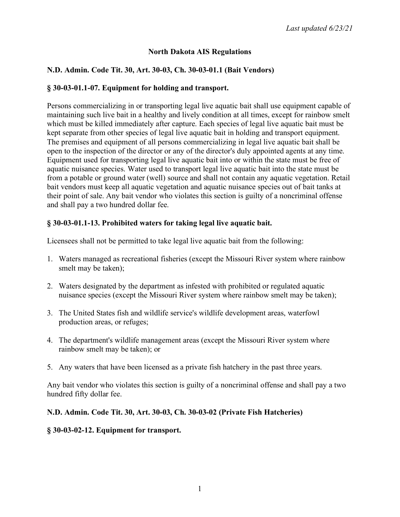## **North Dakota AIS Regulations**

## **N.D. Admin. Code Tit. 30, Art. 30-03, Ch. 30-03-01.1 (Bait Vendors)**

### **§ 30-03-01.1-07. Equipment for holding and transport.**

Persons commercializing in or transporting legal live aquatic bait shall use equipment capable of maintaining such live bait in a healthy and lively condition at all times, except for rainbow smelt which must be killed immediately after capture. Each species of legal live aquatic bait must be kept separate from other species of legal live aquatic bait in holding and transport equipment. The premises and equipment of all persons commercializing in legal live aquatic bait shall be open to the inspection of the director or any of the director's duly appointed agents at any time. Equipment used for transporting legal live aquatic bait into or within the state must be free of aquatic nuisance species. Water used to transport legal live aquatic bait into the state must be from a potable or ground water (well) source and shall not contain any aquatic vegetation. Retail bait vendors must keep all aquatic vegetation and aquatic nuisance species out of bait tanks at their point of sale. Any bait vendor who violates this section is guilty of a noncriminal offense and shall pay a two hundred dollar fee.

### **§ 30-03-01.1-13. Prohibited waters for taking legal live aquatic bait.**

Licensees shall not be permitted to take legal live aquatic bait from the following:

- 1. Waters managed as recreational fisheries (except the Missouri River system where rainbow smelt may be taken);
- 2. Waters designated by the department as infested with prohibited or regulated aquatic nuisance species (except the Missouri River system where rainbow smelt may be taken);
- 3. The United States fish and wildlife service's wildlife development areas, waterfowl production areas, or refuges;
- 4. The department's wildlife management areas (except the Missouri River system where rainbow smelt may be taken); or
- 5. Any waters that have been licensed as a private fish hatchery in the past three years.

Any bait vendor who violates this section is guilty of a noncriminal offense and shall pay a two hundred fifty dollar fee.

### **N.D. Admin. Code Tit. 30, Art. 30-03, Ch. 30-03-02 (Private Fish Hatcheries)**

### **§ 30-03-02-12. Equipment for transport.**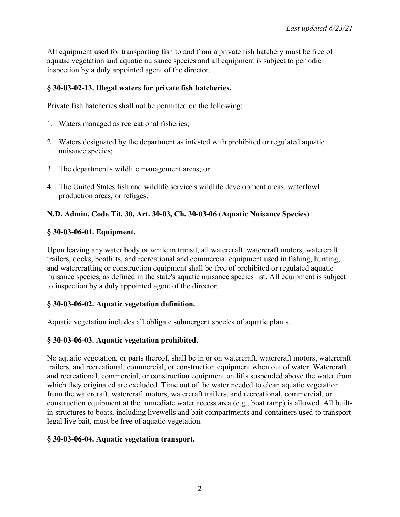All equipment used for transporting fish to and from a private fish hatchery must be free of aquatic vegetation and aquatic nuisance species and all equipment is subject to periodic inspection by a duly appointed agent of the director.

## **§ 30-03-02-13. Illegal waters for private fish hatcheries.**

Private fish hatcheries shall not be permitted on the following:

- 1. Waters managed as recreational fisheries;
- 2. Waters designated by the department as infested with prohibited or regulated aquatic nuisance species;
- 3. The department's wildlife management areas; or
- 4. The United States fish and wildlife service's wildlife development areas, waterfowl production areas, or refuges.

# **N.D. Admin. Code Tit. 30, Art. 30-03, Ch. 30-03-06 (Aquatic Nuisance Species)**

### **§ 30-03-06-01. Equipment.**

Upon leaving any water body or while in transit, all watercraft, watercraft motors, watercraft trailers, docks, boatlifts, and recreational and commercial equipment used in fishing, hunting, and watercrafting or construction equipment shall be free of prohibited or regulated aquatic nuisance species, as defined in the state's aquatic nuisance species list. All equipment is subject to inspection by a duly appointed agent of the director.

# **§ 30-03-06-02. Aquatic vegetation definition.**

Aquatic vegetation includes all obligate submergent species of aquatic plants.

# **§ 30-03-06-03. Aquatic vegetation prohibited.**

No aquatic vegetation, or parts thereof, shall be in or on watercraft, watercraft motors, watercraft trailers, and recreational, commercial, or construction equipment when out of water. Watercraft and recreational, commercial, or construction equipment on lifts suspended above the water from which they originated are excluded. Time out of the water needed to clean aquatic vegetation from the watercraft, watercraft motors, watercraft trailers, and recreational, commercial, or construction equipment at the immediate water access area (e.g., boat ramp) is allowed. All builtin structures to boats, including livewells and bait compartments and containers used to transport legal live bait, must be free of aquatic vegetation.

### **§ 30-03-06-04. Aquatic vegetation transport.**